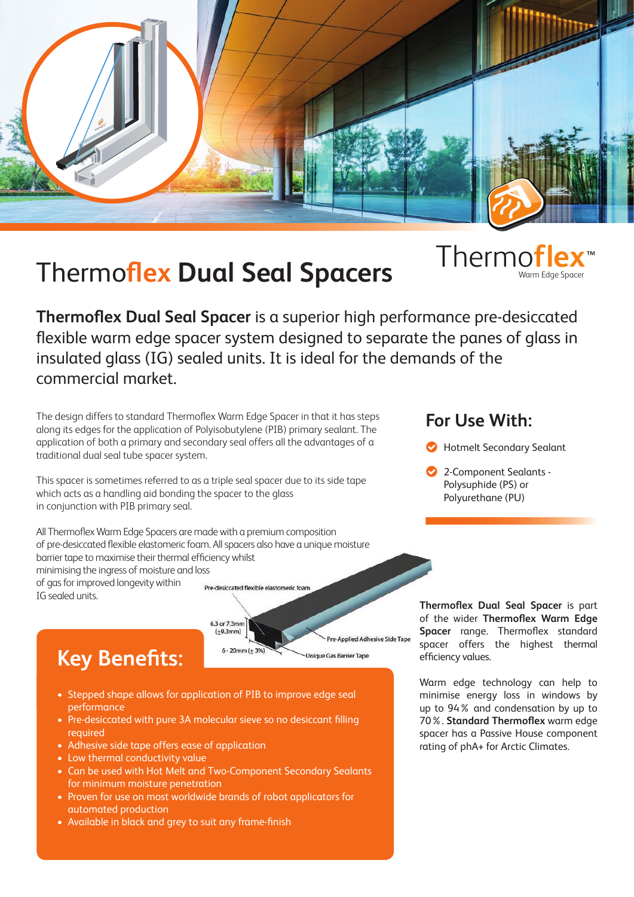

## Thermo**flex Dual Seal Spacers** Thermo**flex**

Warm Edge Spacer ™

**Thermoflex Dual Seal Spacer** is a superior high performance pre-desiccated flexible warm edge spacer system designed to separate the panes of glass in insulated glass (IG) sealed units. It is ideal for the demands of the commercial market.

**Pre-Applied Adhesive Side Tape** 

**Jnique Gas Barrier Tape** 

The design differs to standard Thermoflex Warm Edge Spacer in that it has steps along its edges for the application of Polyisobutylene (PIB) primary sealant. The application of both a primary and secondary seal offers all the advantages of a traditional dual seal tube spacer system.

This spacer is sometimes referred to as a triple seal spacer due to its side tape which acts as a handling aid bonding the spacer to the glass in conjunction with PIB primary seal.

All Thermoflex Warm Edge Spacers are made with a premium composition of pre-desiccated flexible elastomeric foam. All spacers also have a unique moisture barrier tape to maximise their thermal efficiency whilst minimising the ingress of moisture and loss of gas for improved longevity within Pre-desiccated flexible elastomeric foam IG sealed units.

## **Key Benefits:**

• Stepped shape allows for application of PIB to improve edge seal performance

6.3 or 7.3mm  $(+0.3mm)$ 

 $6 - 20$ mm ( $\pm 3%$ 

- Pre-desiccated with pure 3A molecular sieve so no desiccant filling required
- Adhesive side tape offers ease of application
- Low thermal conductivity value
- Can be used with Hot Melt and Two-Component Secondary Sealants for minimum moisture penetration
- Proven for use on most worldwide brands of robot applicators for automated production
- Available in black and grey to suit any frame-finish

## **For Use With:**

- **Hotmelt Secondary Sealant**
- 2-Component Sealants Polysuphide (PS) or Polyurethane (PU)  $\bullet$

**Thermoflex Dual Seal Spacer** is part of the wider **Thermoflex Warm Edge Spacer** range. Thermoflex standard spacer offers the highest thermal efficiency values.

Warm edge technology can help to minimise energy loss in windows by up to 94% and condensation by up to 70%. **Standard Thermoflex** warm edge spacer has a Passive House component rating of phA+ for Arctic Climates.